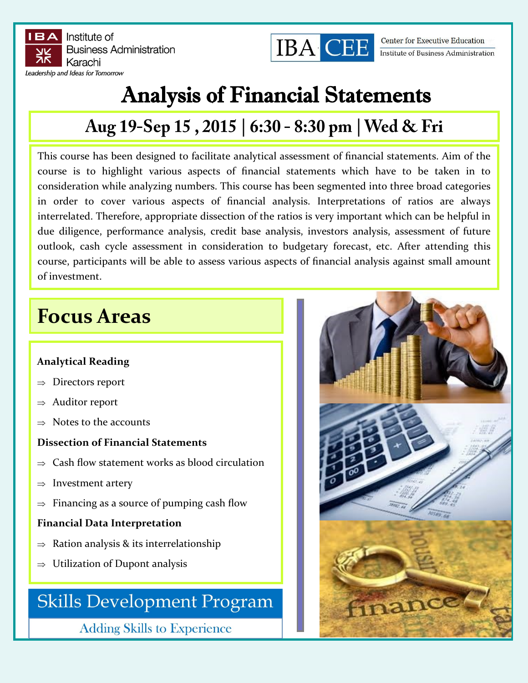



**Center for Executive Education** Institute of Business Administration

# Analysis of Financial Statements

## Aug 19-Sep 15, 2015 | 6:30 - 8:30 pm | Wed & Fri

This course has been designed to facilitate analytical assessment of financial statements. Aim of the course is to highlight various aspects of financial statements which have to be taken in to consideration while analyzing numbers. This course has been segmented into three broad categories in order to cover various aspects of financial analysis. Interpretations of ratios are always interrelated. Therefore, appropriate dissection of the ratios is very important which can be helpful in due diligence, performance analysis, credit base analysis, investors analysis, assessment of future outlook, cash cycle assessment in consideration to budgetary forecast, etc. After attending this course, participants will be able to assess various aspects of financial analysis against small amount of investment.

## **Focus Areas**

#### **Analytical Reading**

- $\Rightarrow$  Directors report
- $\Rightarrow$  Auditor report
- $\Rightarrow$  Notes to the accounts

#### **Dissection of Financial Statements**

- $\Rightarrow$  Cash flow statement works as blood circulation
- $\Rightarrow$  Investment artery
- $\Rightarrow$  Financing as a source of pumping cash flow

#### **Financial Data Interpretation**

- $\Rightarrow$  Ration analysis & its interrelationship
- $\Rightarrow$  Utilization of Dupont analysis

## **Skills Development Program**

**Adding Skills to Experience**